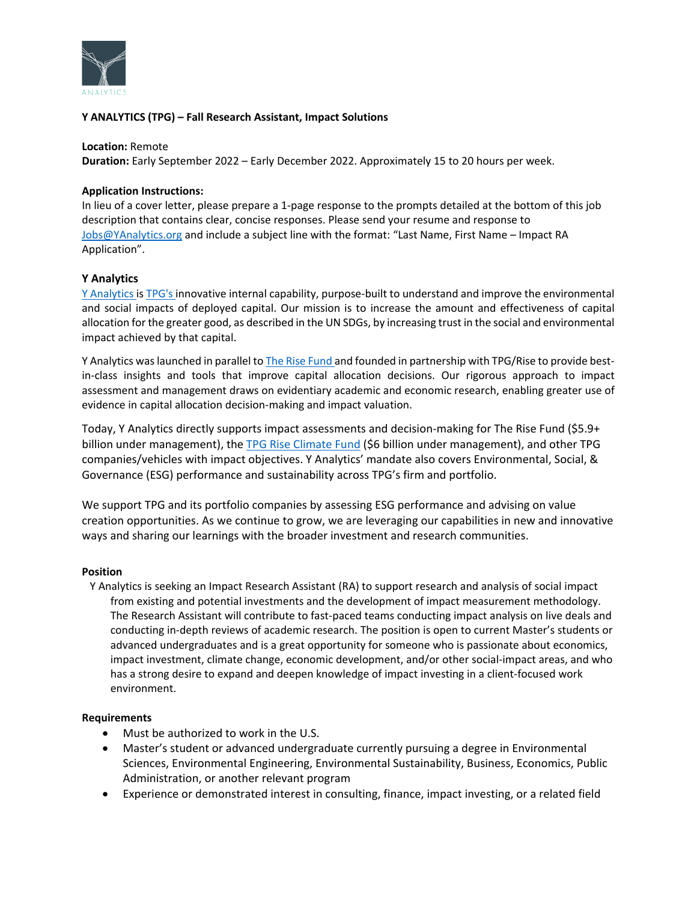

# **Y ANALYTICS (TPG) – Fall Research Assistant, Impact Solutions**

### **Location:** Remote

**Duration:** Early September 2022 – Early December 2022. Approximately 15 to 20 hours per week.

### **Application Instructions:**

In lieu of a cover letter, please prepare a 1-page response to the prompts detailed at the bottom of this job description that contains clear, concise responses. Please send your resume and response to [Jobs@YAnalytics.org](mailto:Jobs@YAnalytics.org) and include a subject line with the format: "Last Name, First Name – Impact RA Application".

## **Y Analytics**

[Y Analytics i](https://yanalytics.org/)[s TPG's in](https://www.tpg.com/)novative internal capability, purpose-built to understand and improve the environmental and social impacts of deployed capital. Our mission is to increase the amount and effectiveness of capital allocation for the greater good, as described in the UN SDGs, by increasing trust in the social and environmental impact achieved by that capital.

Y Analytics was launched in parallel to **The Rise Fund and founded in partnership** with TPG/Rise to provide bestin-class insights and tools that improve capital allocation decisions. Our rigorous approach to impact assessment and management draws on evidentiary academic and economic research, enabling greater use of evidence in capital allocation decision-making and impact valuation.

Today, Y Analytics directly supports impact assessments and decision-making for The Rise Fund (\$5.9+ billion under management), th[e TPG Rise Climate Fund](https://press.tpg.com/news-releases/news-release-details/tpg-announces-54-billion-first-close-tpg-rise-climate-fund) (\$6 billion under management), and other TPG companies/vehicles with impact objectives. Y Analytics' mandate also covers Environmental, Social, & Governance (ESG) performance and sustainability across TPG's firm and portfolio.

We support TPG and its portfolio companies by assessing ESG performance and advising on value creation opportunities. As we continue to grow, we are leveraging our capabilities in new and innovative ways and sharing our learnings with the broader investment and research communities.

## **Position**

Y Analytics is seeking an Impact Research Assistant (RA) to support research and analysis of social impact from existing and potential investments and the development of impact measurement methodology. The Research Assistant will contribute to fast-paced teams conducting impact analysis on live deals and conducting in-depth reviews of academic research. The position is open to current Master's students or advanced undergraduates and is a great opportunity for someone who is passionate about economics, impact investment, climate change, economic development, and/or other social-impact areas, and who has a strong desire to expand and deepen knowledge of impact investing in a client-focused work environment.

## **Requirements**

- Must be authorized to work in the U.S.
- Master's student or advanced undergraduate currently pursuing a degree in Environmental Sciences, Environmental Engineering, Environmental Sustainability, Business, Economics, Public Administration, or another relevant program
- Experience or demonstrated interest in consulting, finance, impact investing, or a related field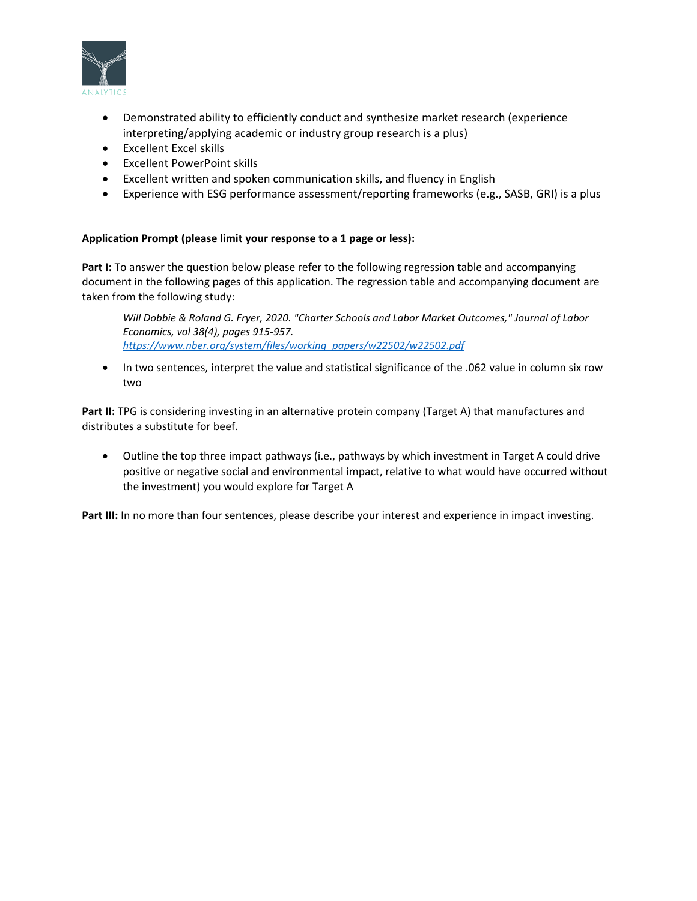

- Demonstrated ability to efficiently conduct and synthesize market research (experience interpreting/applying academic or industry group research is a plus)
- Excellent Excel skills
- Excellent PowerPoint skills
- Excellent written and spoken communication skills, and fluency in English
- Experience with ESG performance assessment/reporting frameworks (e.g., SASB, GRI) is a plus

## **Application Prompt (please limit your response to a 1 page or less):**

Part I: To answer the question below please refer to the following regression table and accompanying document in the following pages of this application. The regression table and accompanying document are taken from the following study:

*Will Dobbie & Roland G. Fryer, 2020. "Charter Schools and Labor Market Outcomes," Journal of Labor Economics, vol 38(4), pages 915-957. [https://www.nber.org/system/files/working\\_papers/w22502/w22502.pdf](https://www.nber.org/system/files/working_papers/w22502/w22502.pdf)*

• In two sentences, interpret the value and statistical significance of the .062 value in column six row two

Part II: TPG is considering investing in an alternative protein company (Target A) that manufactures and distributes a substitute for beef.

• Outline the top three impact pathways (i.e., pathways by which investment in Target A could drive positive or negative social and environmental impact, relative to what would have occurred without the investment) you would explore for Target A

**Part III:** In no more than four sentences, please describe your interest and experience in impact investing.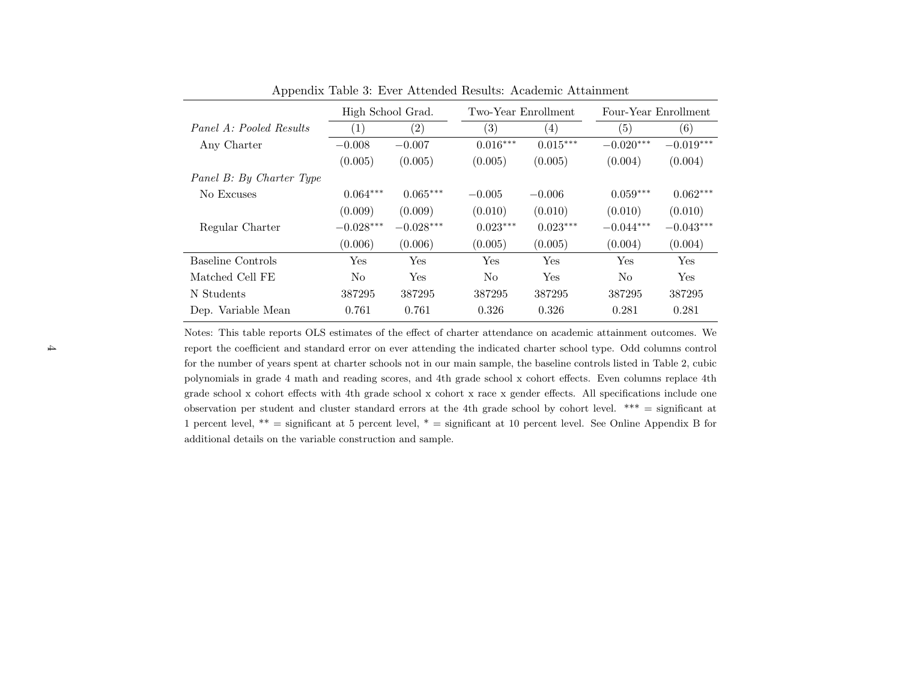|                          | High School Grad. |                   | Two-Year Enrollment |                   | Four-Year Enrollment |                   |
|--------------------------|-------------------|-------------------|---------------------|-------------------|----------------------|-------------------|
| Panel A: Pooled Results  | $\left(1\right)$  | $\left( 2\right)$ | $\left( 3\right)$   | $\left( 4\right)$ | (5)                  | $\left( 6\right)$ |
| Any Charter              | $-0.008$          | $-0.007$          | $0.016***$          | $0.015***$        | $-0.020***$          | $-0.019***$       |
|                          | (0.005)           | (0.005)           | (0.005)             | (0.005)           | (0.004)              | (0.004)           |
| Panel B: By Charter Type |                   |                   |                     |                   |                      |                   |
| No Excuses               | $0.064***$        | $0.065***$        | $-0.005$            | $-0.006$          | $0.059***$           | $0.062***$        |
|                          | (0.009)           | (0.009)           | (0.010)             | (0.010)           | (0.010)              | (0.010)           |
| Regular Charter          | $-0.028***$       | $-0.028***$       | $0.023***$          | $0.023***$        | $-0.044***$          | $-0.043***$       |
|                          | (0.006)           | (0.006)           | (0.005)             | (0.005)           | (0.004)              | (0.004)           |
| Baseline Controls        | Yes               | Yes               | Yes                 | <b>Yes</b>        | Yes                  | <b>Yes</b>        |
| Matched Cell FE          | N <sub>o</sub>    | Yes               | No                  | <b>Yes</b>        | No                   | <b>Yes</b>        |
| N Students               | 387295            | 387295            | 387295              | 387295            | 387295               | 387295            |
| Dep. Variable Mean       | 0.761             | 0.761             | 0.326               | 0.326             | 0.281                | 0.281             |

Appendix Table 3: Ever Attended Results: Academic Attainment

Notes: This table reports OLS estimates of the effect of charter attendance on academic attainment outcomes. We report the coefficient and standard error on ever attending the indicated charter school type. Odd columns controlfor the number of years spent at charter schools not in our main sample, the baseline controls listed in Table 2, cubic polynomials in grade 4 math and reading scores, and 4th grade school <sup>x</sup> cohort effects. Even columns replace 4th grade school <sup>x</sup> cohort effects with 4th grade school <sup>x</sup> cohort <sup>x</sup> race <sup>x</sup> gender effects. All specifications include one observation per student and cluster standard errors at the 4th grade school by cohort level. \*\*\* <sup>=</sup> significant at1 percent level,  $**$  = significant at 5 percent level,  $*$  = significant at 10 percent level. See Online Appendix B for additional details on the variable construction and sample.